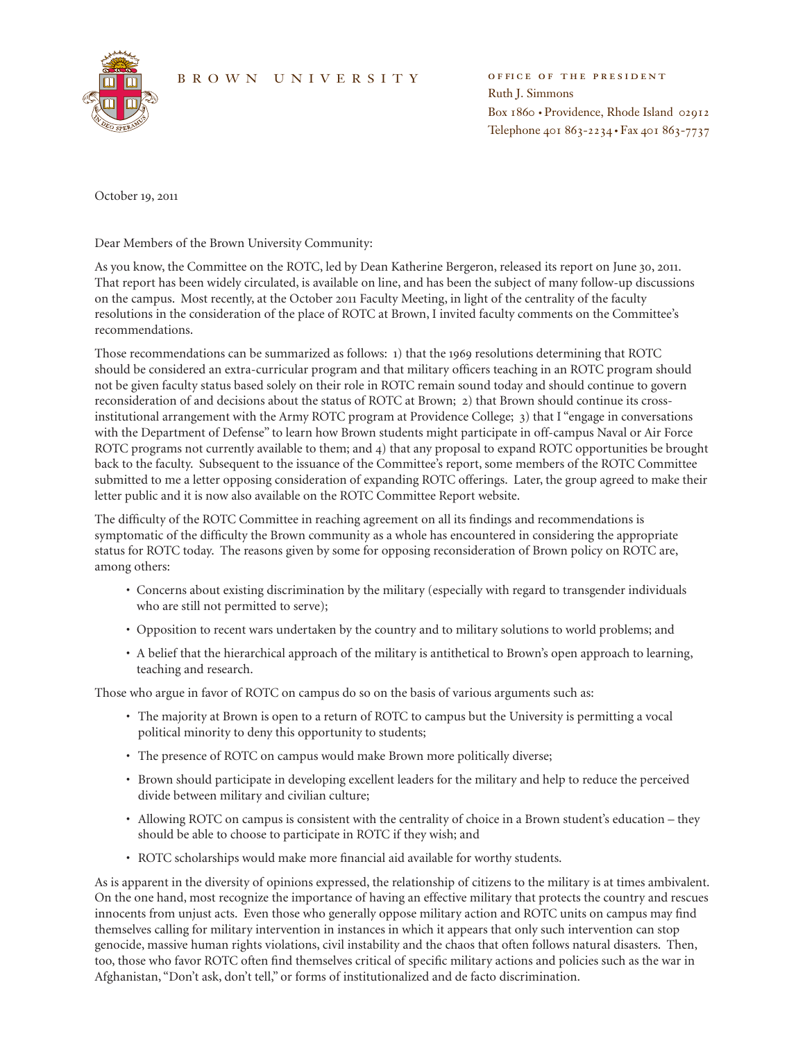## BROWN UNIVERSITY OFFICE OF THE PRESIDENT



Ruth J. Simmons Box 1860 • Providence, Rhode Island 02912 Telephone 401 863-2234 • Fax 401 863-7737

October 19, 2011

Dear Members of the Brown University Community:

As you know, the Committee on the ROTC, led by Dean Katherine Bergeron, released its report on June 30, 2011. That report has been widely circulated, is available on line, and has been the subject of many follow-up discussions on the campus. Most recently, at the October 2011 Faculty Meeting, in light of the centrality of the faculty resolutions in the consideration of the place of ROTC at Brown, I invited faculty comments on the Committee's recommendations.

Those recommendations can be summarized as follows: 1) that the 1969 resolutions determining that ROTC should be considered an extra-curricular program and that military officers teaching in an ROTC program should not be given faculty status based solely on their role in ROTC remain sound today and should continue to govern reconsideration of and decisions about the status of ROTC at Brown; 2) that Brown should continue its crossinstitutional arrangement with the Army ROTC program at Providence College; 3) that I "engage in conversations with the Department of Defense" to learn how Brown students might participate in off-campus Naval or Air Force ROTC programs not currently available to them; and 4) that any proposal to expand ROTC opportunities be brought back to the faculty. Subsequent to the issuance of the Committee's report, some members of the ROTC Committee submitted to me a letter opposing consideration of expanding ROTC offerings. Later, the group agreed to make their letter public and it is now also available on the ROTC Committee Report website.

The difficulty of the ROTC Committee in reaching agreement on all its findings and recommendations is symptomatic of the difficulty the Brown community as a whole has encountered in considering the appropriate status for ROTC today. The reasons given by some for opposing reconsideration of Brown policy on ROTC are, among others:

- • Concerns about existing discrimination by the military (especially with regard to transgender individuals who are still not permitted to serve);
- • Opposition to recent wars undertaken by the country and to military solutions to world problems; and
- • A belief that the hierarchical approach of the military is antithetical to Brown's open approach to learning, teaching and research.

Those who argue in favor of ROTC on campus do so on the basis of various arguments such as:

- • The majority at Brown is open to a return of ROTC to campus but the University is permitting a vocal political minority to deny this opportunity to students;
- • The presence of ROTC on campus would make Brown more politically diverse;
- • Brown should participate in developing excellent leaders for the military and help to reduce the perceived divide between military and civilian culture;
- • Allowing ROTC on campus is consistent with the centrality of choice in a Brown student's education they should be able to choose to participate in ROTC if they wish; and
- ROTC scholarships would make more financial aid available for worthy students.

As is apparent in the diversity of opinions expressed, the relationship of citizens to the military is at times ambivalent. On the one hand, most recognize the importance of having an effective military that protects the country and rescues innocents from unjust acts. Even those who generally oppose military action and ROTC units on campus may find themselves calling for military intervention in instances in which it appears that only such intervention can stop genocide, massive human rights violations, civil instability and the chaos that often follows natural disasters. Then, too, those who favor ROTC often find themselves critical of specific military actions and policies such as the war in Afghanistan, "Don't ask, don't tell," or forms of institutionalized and de facto discrimination.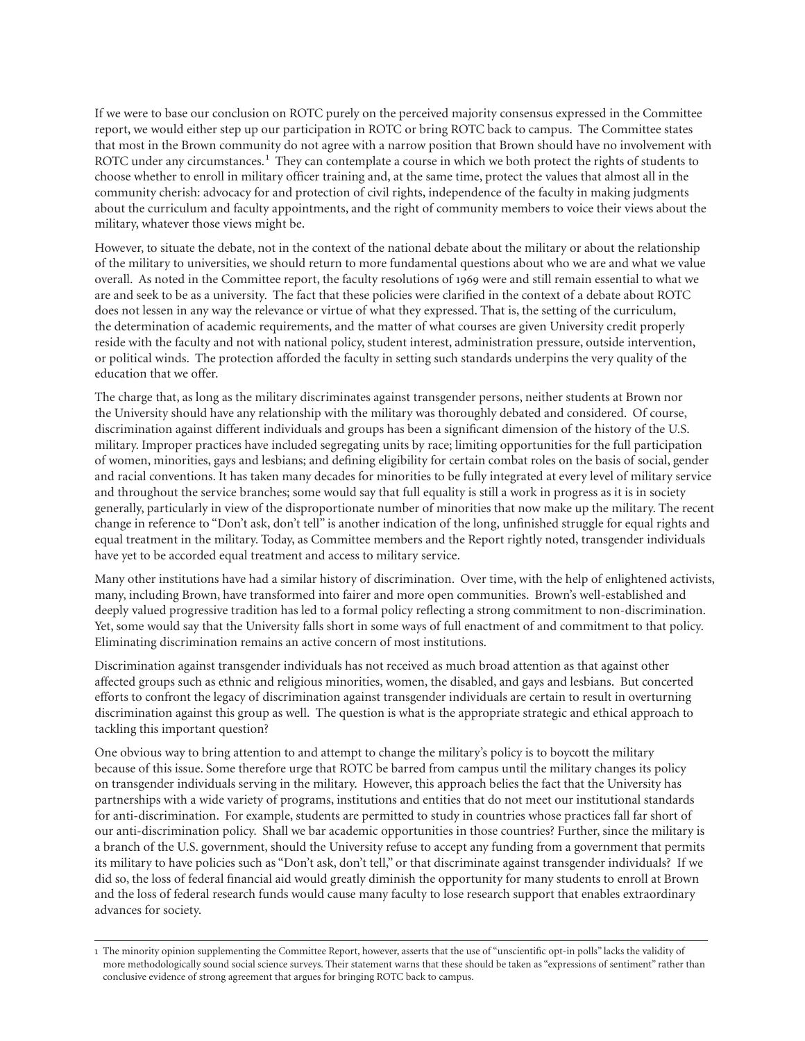If we were to base our conclusion on ROTC purely on the perceived majority consensus expressed in the Committee report, we would either step up our participation in ROTC or bring ROTC back to campus. The Committee states that most in the Brown community do not agree with a narrow position that Brown should have no involvement with ROTC under any circumstances.<sup>1</sup> They can contemplate a course in which we both protect the rights of students to choose whether to enroll in military officer training and, at the same time, protect the values that almost all in the community cherish: advocacy for and protection of civil rights, independence of the faculty in making judgments about the curriculum and faculty appointments, and the right of community members to voice their views about the military, whatever those views might be.

However, to situate the debate, not in the context of the national debate about the military or about the relationship of the military to universities, we should return to more fundamental questions about who we are and what we value overall. As noted in the Committee report, the faculty resolutions of 1969 were and still remain essential to what we are and seek to be as a university. The fact that these policies were clarified in the context of a debate about ROTC does not lessen in any way the relevance or virtue of what they expressed. That is, the setting of the curriculum, the determination of academic requirements, and the matter of what courses are given University credit properly reside with the faculty and not with national policy, student interest, administration pressure, outside intervention, or political winds. The protection afforded the faculty in setting such standards underpins the very quality of the education that we offer.

The charge that, as long as the military discriminates against transgender persons, neither students at Brown nor the University should have any relationship with the military was thoroughly debated and considered. Of course, discrimination against different individuals and groups has been a significant dimension of the history of the U.S. military. Improper practices have included segregating units by race; limiting opportunities for the full participation of women, minorities, gays and lesbians; and defining eligibility for certain combat roles on the basis of social, gender and racial conventions. It has taken many decades for minorities to be fully integrated at every level of military service and throughout the service branches; some would say that full equality is still a work in progress as it is in society generally, particularly in view of the disproportionate number of minorities that now make up the military. The recent change in reference to "Don't ask, don't tell" is another indication of the long, unfinished struggle for equal rights and equal treatment in the military. Today, as Committee members and the Report rightly noted, transgender individuals have yet to be accorded equal treatment and access to military service.

Many other institutions have had a similar history of discrimination. Over time, with the help of enlightened activists, many, including Brown, have transformed into fairer and more open communities. Brown's well-established and deeply valued progressive tradition has led to a formal policy reflecting a strong commitment to non-discrimination. Yet, some would say that the University falls short in some ways of full enactment of and commitment to that policy. Eliminating discrimination remains an active concern of most institutions.

Discrimination against transgender individuals has not received as much broad attention as that against other affected groups such as ethnic and religious minorities, women, the disabled, and gays and lesbians. But concerted efforts to confront the legacy of discrimination against transgender individuals are certain to result in overturning discrimination against this group as well. The question is what is the appropriate strategic and ethical approach to tackling this important question?

One obvious way to bring attention to and attempt to change the military's policy is to boycott the military because of this issue. Some therefore urge that ROTC be barred from campus until the military changes its policy on transgender individuals serving in the military. However, this approach belies the fact that the University has partnerships with a wide variety of programs, institutions and entities that do not meet our institutional standards for anti-discrimination. For example, students are permitted to study in countries whose practices fall far short of our anti-discrimination policy. Shall we bar academic opportunities in those countries? Further, since the military is a branch of the U.S. government, should the University refuse to accept any funding from a government that permits its military to have policies such as "Don't ask, don't tell," or that discriminate against transgender individuals? If we did so, the loss of federal financial aid would greatly diminish the opportunity for many students to enroll at Brown and the loss of federal research funds would cause many faculty to lose research support that enables extraordinary advances for society.

<sup>1</sup> The minority opinion supplementing the Committee Report, however, asserts that the use of "unscientific opt-in polls" lacks the validity of more methodologically sound social science surveys. Their statement warns that these should be taken as "expressions of sentiment" rather than conclusive evidence of strong agreement that argues for bringing ROTC back to campus.